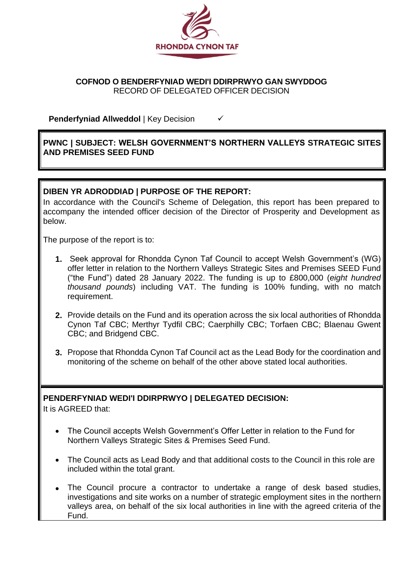

#### **COFNOD O BENDERFYNIAD WEDI'I DDIRPRWYO GAN SWYDDOG** RECORD OF DELEGATED OFFICER DECISION

**Penderfyniad Allweddol** | Key Decision <del>✓</del>

## **PWNC | SUBJECT: WELSH GOVERNMENT'S NORTHERN VALLEYS STRATEGIC SITES AND PREMISES SEED FUND**

# **DIBEN YR ADRODDIAD | PURPOSE OF THE REPORT:**

In accordance with the Council's Scheme of Delegation, this report has been prepared to accompany the intended officer decision of the Director of Prosperity and Development as below.

The purpose of the report is to:

- **1.** Seek approval for Rhondda Cynon Taf Council to accept Welsh Government's (WG) offer letter in relation to the Northern Valleys Strategic Sites and Premises SEED Fund ("the Fund") dated 28 January 2022. The funding is up to £800,000 (*eight hundred thousand pounds*) including VAT. The funding is 100% funding, with no match requirement.
- **2.** Provide details on the Fund and its operation across the six local authorities of Rhondda Cynon Taf CBC; Merthyr Tydfil CBC; Caerphilly CBC; Torfaen CBC; Blaenau Gwent CBC; and Bridgend CBC.
- **3.** Propose that Rhondda Cynon Taf Council act as the Lead Body for the coordination and monitoring of the scheme on behalf of the other above stated local authorities.

# **PENDERFYNIAD WEDI'I DDIRPRWYO | DELEGATED DECISION:**

It is AGREED that:

- The Council accepts Welsh Government's Offer Letter in relation to the Fund for Northern Valleys Strategic Sites & Premises Seed Fund.
- The Council acts as Lead Body and that additional costs to the Council in this role are included within the total grant.
- The Council procure a contractor to undertake a range of desk based studies, investigations and site works on a number of strategic employment sites in the northern valleys area, on behalf of the six local authorities in line with the agreed criteria of the Fund.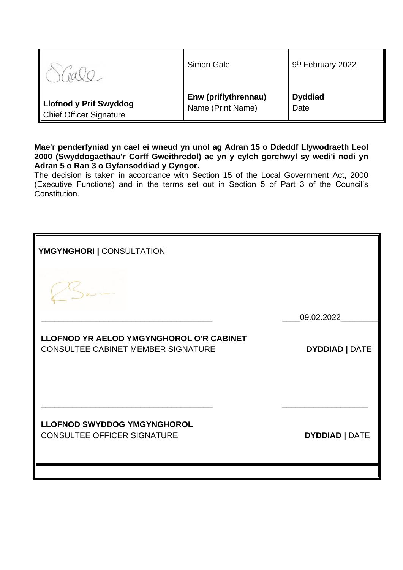|                                | Simon Gale           | 9 <sup>th</sup> February 2022 |
|--------------------------------|----------------------|-------------------------------|
| Llofnod y Prif Swyddog         | Enw (priflythrennau) | <b>Dyddiad</b>                |
| <b>Chief Officer Signature</b> | Name (Print Name)    | Date                          |

**Mae'r penderfyniad yn cael ei wneud yn unol ag Adran 15 o Ddeddf Llywodraeth Leol 2000 (Swyddogaethau'r Corff Gweithredol) ac yn y cylch gorchwyl sy wedi'i nodi yn Adran 5 o Ran 3 o Gyfansoddiad y Cyngor.**

The decision is taken in accordance with Section 15 of the Local Government Act, 2000 (Executive Functions) and in the terms set out in Section 5 of Part 3 of the Council's Constitution.

| YMGYNGHORI   CONSULTATION                                                      |                       |  |
|--------------------------------------------------------------------------------|-----------------------|--|
|                                                                                |                       |  |
|                                                                                | 09.02.2022            |  |
| LLOFNOD YR AELOD YMGYNGHOROL O'R CABINET<br>CONSULTEE CABINET MEMBER SIGNATURE | <b>DYDDIAD   DATE</b> |  |
| <b>LLOFNOD SWYDDOG YMGYNGHOROL</b><br><b>CONSULTEE OFFICER SIGNATURE</b>       | <b>DYDDIAD   DATE</b> |  |
|                                                                                |                       |  |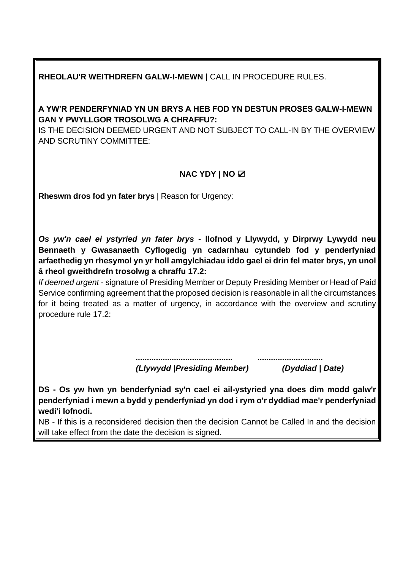# **RHEOLAU'R WEITHDREFN GALW-I-MEWN |** CALL IN PROCEDURE RULES.

# **A YW'R PENDERFYNIAD YN UN BRYS A HEB FOD YN DESTUN PROSES GALW-I-MEWN GAN Y PWYLLGOR TROSOLWG A CHRAFFU?:**

IS THE DECISION DEEMED URGENT AND NOT SUBJECT TO CALL-IN BY THE OVERVIEW AND SCRUTINY COMMITTEE:

# **NAC YDY | NO** ☑

**Rheswm dros fod yn fater brys | Reason for Urgency:** 

*Os yw'n cael ei ystyried yn fater brys* **- llofnod y Llywydd, y Dirprwy Lywydd neu Bennaeth y Gwasanaeth Cyflogedig yn cadarnhau cytundeb fod y penderfyniad arfaethedig yn rhesymol yn yr holl amgylchiadau iddo gael ei drin fel mater brys, yn unol â rheol gweithdrefn trosolwg a chraffu 17.2:**

*If deemed urgent* - signature of Presiding Member or Deputy Presiding Member or Head of Paid Service confirming agreement that the proposed decision is reasonable in all the circumstances for it being treated as a matter of urgency, in accordance with the overview and scrutiny procedure rule 17.2:

> *........................................... ............................. (Llywydd |Presiding Member) (Dyddiad | Date)*

**DS - Os yw hwn yn benderfyniad sy'n cael ei ail-ystyried yna does dim modd galw'r penderfyniad i mewn a bydd y penderfyniad yn dod i rym o'r dyddiad mae'r penderfyniad wedi'i lofnodi.**

NB - If this is a reconsidered decision then the decision Cannot be Called In and the decision will take effect from the date the decision is signed.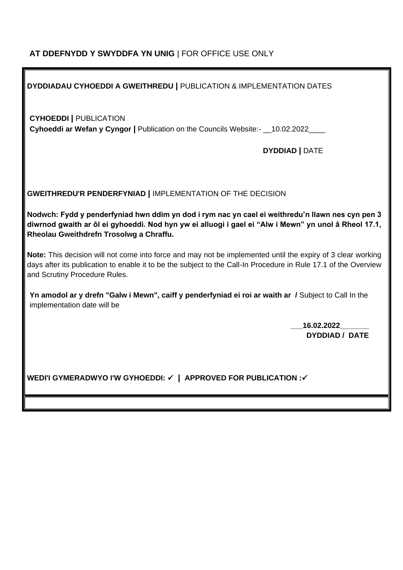# **AT DDEFNYDD Y SWYDDFA YN UNIG** | FOR OFFICE USE ONLY

# **DYDDIADAU CYHOEDDI A GWEITHREDU |** PUBLICATION & IMPLEMENTATION DATES

**CYHOEDDI |** PUBLICATION

**Cyhoeddi ar Wefan y Cyngor |** Publication on the Councils Website:- \_\_10.02.2022\_\_\_\_

## **DYDDIAD |** DATE

**GWEITHREDU'R PENDERFYNIAD |** IMPLEMENTATION OF THE DECISION

**Nodwch: Fydd y penderfyniad hwn ddim yn dod i rym nac yn cael ei weithredu'n llawn nes cyn pen 3 diwrnod gwaith ar ôl ei gyhoeddi. Nod hyn yw ei alluogi i gael ei "Alw i Mewn" yn unol â Rheol 17.1, Rheolau Gweithdrefn Trosolwg a Chraffu.**

**Note:** This decision will not come into force and may not be implemented until the expiry of 3 clear working days after its publication to enable it to be the subject to the Call-In Procedure in Rule 17.1 of the Overview and Scrutiny Procedure Rules.

**Yn amodol ar y drefn "Galw i Mewn", caiff y penderfyniad ei roi ar waith ar /** Subject to Call In the implementation date will be

> **\_\_\_16.02.2022\_\_\_\_\_\_\_ DYDDIAD / DATE**

**WEDI'I GYMERADWYO I'W GYHOEDDI:** ✓ **| APPROVED FOR PUBLICATION :**✓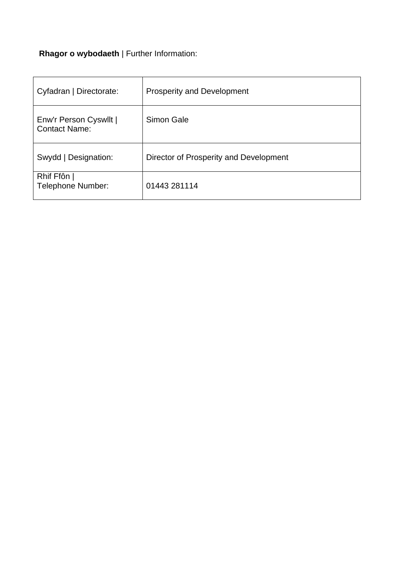**Rhagor o wybodaeth** | Further Information:

| Cyfadran   Directorate:                        | <b>Prosperity and Development</b>      |
|------------------------------------------------|----------------------------------------|
| Enw'r Person Cyswllt  <br><b>Contact Name:</b> | Simon Gale                             |
| Swydd   Designation:                           | Director of Prosperity and Development |
| Rhif Ffôn  <br>Telephone Number:               | 01443 281114                           |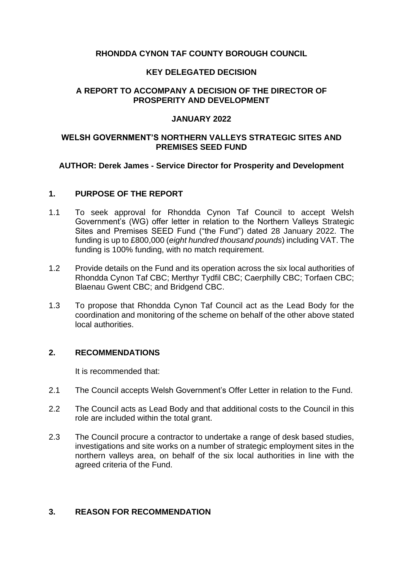### **RHONDDA CYNON TAF COUNTY BOROUGH COUNCIL**

#### **KEY DELEGATED DECISION**

## **A REPORT TO ACCOMPANY A DECISION OF THE DIRECTOR OF PROSPERITY AND DEVELOPMENT**

#### **JANUARY 2022**

#### **WELSH GOVERNMENT'S NORTHERN VALLEYS STRATEGIC SITES AND PREMISES SEED FUND**

#### **AUTHOR: Derek James - Service Director for Prosperity and Development**

#### **1. PURPOSE OF THE REPORT**

- 1.1 To seek approval for Rhondda Cynon Taf Council to accept Welsh Government's (WG) offer letter in relation to the Northern Valleys Strategic Sites and Premises SEED Fund ("the Fund") dated 28 January 2022. The funding is up to £800,000 (*eight hundred thousand pounds*) including VAT. The funding is 100% funding, with no match requirement.
- 1.2 Provide details on the Fund and its operation across the six local authorities of Rhondda Cynon Taf CBC; Merthyr Tydfil CBC; Caerphilly CBC; Torfaen CBC; Blaenau Gwent CBC; and Bridgend CBC.
- 1.3 To propose that Rhondda Cynon Taf Council act as the Lead Body for the coordination and monitoring of the scheme on behalf of the other above stated local authorities.

## **2. RECOMMENDATIONS**

It is recommended that:

- 2.1 The Council accepts Welsh Government's Offer Letter in relation to the Fund.
- 2.2 The Council acts as Lead Body and that additional costs to the Council in this role are included within the total grant.
- 2.3 The Council procure a contractor to undertake a range of desk based studies, investigations and site works on a number of strategic employment sites in the northern valleys area, on behalf of the six local authorities in line with the agreed criteria of the Fund.

# **3. REASON FOR RECOMMENDATION**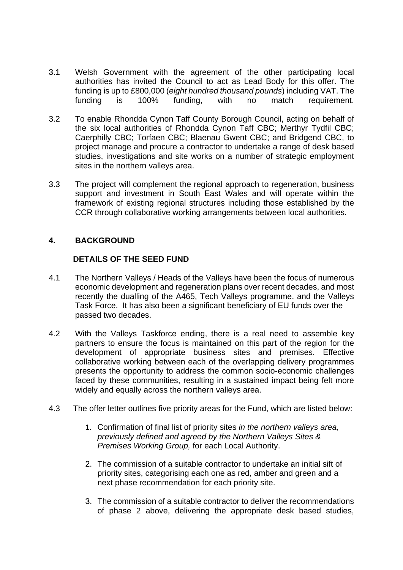- 3.1 Welsh Government with the agreement of the other participating local authorities has invited the Council to act as Lead Body for this offer. The funding is up to £800,000 (*eight hundred thousand pounds*) including VAT. The funding is 100% funding, with no match requirement.
- 3.2 To enable Rhondda Cynon Taff County Borough Council, acting on behalf of the six local authorities of Rhondda Cynon Taff CBC; Merthyr Tydfil CBC; Caerphilly CBC; Torfaen CBC; Blaenau Gwent CBC; and Bridgend CBC, to project manage and procure a contractor to undertake a range of desk based studies, investigations and site works on a number of strategic employment sites in the northern valleys area.
- 3.3 The project will complement the regional approach to regeneration, business support and investment in South East Wales and will operate within the framework of existing regional structures including those established by the CCR through collaborative working arrangements between local authorities.

## **4. BACKGROUND**

#### **DETAILS OF THE SEED FUND**

- 4.1 The Northern Valleys / Heads of the Valleys have been the focus of numerous economic development and regeneration plans over recent decades, and most recently the dualling of the A465, Tech Valleys programme, and the Valleys Task Force. It has also been a significant beneficiary of EU funds over the passed two decades.
- 4.2 With the Valleys Taskforce ending, there is a real need to assemble key partners to ensure the focus is maintained on this part of the region for the development of appropriate business sites and premises. Effective collaborative working between each of the overlapping delivery programmes presents the opportunity to address the common socio-economic challenges faced by these communities, resulting in a sustained impact being felt more widely and equally across the northern valleys area.
- 4.3 The offer letter outlines five priority areas for the Fund, which are listed below:
	- 1. Confirmation of final list of priority sites *in the northern valleys area, previously defined and agreed by the Northern Valleys Sites & Premises Working Group,* for each Local Authority.
	- 2. The commission of a suitable contractor to undertake an initial sift of priority sites, categorising each one as red, amber and green and a next phase recommendation for each priority site.
	- 3. The commission of a suitable contractor to deliver the recommendations of phase 2 above, delivering the appropriate desk based studies,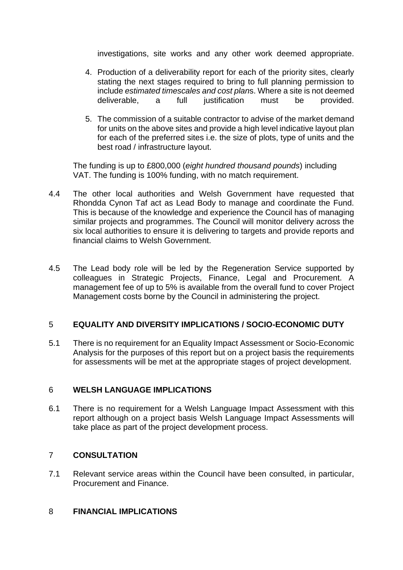investigations, site works and any other work deemed appropriate.

- 4. Production of a deliverability report for each of the priority sites, clearly stating the next stages required to bring to full planning permission to include *estimated timescales and cost plan*s. Where a site is not deemed deliverable, a full justification must be provided.
- 5. The commission of a suitable contractor to advise of the market demand for units on the above sites and provide a high level indicative layout plan for each of the preferred sites i.e. the size of plots, type of units and the best road / infrastructure layout.

The funding is up to £800,000 (*eight hundred thousand pounds*) including VAT. The funding is 100% funding, with no match requirement.

- 4.4 The other local authorities and Welsh Government have requested that Rhondda Cynon Taf act as Lead Body to manage and coordinate the Fund. This is because of the knowledge and experience the Council has of managing similar projects and programmes. The Council will monitor delivery across the six local authorities to ensure it is delivering to targets and provide reports and financial claims to Welsh Government.
- 4.5 The Lead body role will be led by the Regeneration Service supported by colleagues in Strategic Projects, Finance, Legal and Procurement. A management fee of up to 5% is available from the overall fund to cover Project Management costs borne by the Council in administering the project.

# 5 **EQUALITY AND DIVERSITY IMPLICATIONS / SOCIO-ECONOMIC DUTY**

5.1 There is no requirement for an Equality Impact Assessment or Socio-Economic Analysis for the purposes of this report but on a project basis the requirements for assessments will be met at the appropriate stages of project development.

# 6 **WELSH LANGUAGE IMPLICATIONS**

6.1 There is no requirement for a Welsh Language Impact Assessment with this report although on a project basis Welsh Language Impact Assessments will take place as part of the project development process.

# 7 **CONSULTATION**

7.1 Relevant service areas within the Council have been consulted, in particular, Procurement and Finance.

# 8 **FINANCIAL IMPLICATIONS**